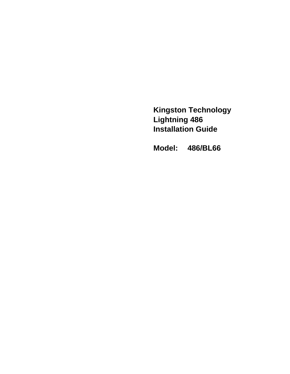**Kingston Technology Lightning 486 Installation Guide**

**Model: 486/BL66**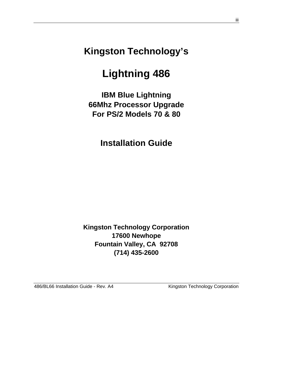**Kingston Technology's**

# **Lightning 486**

**IBM Blue Lightning 66Mhz Processor Upgrade For PS/2 Models 70 & 80**

**Installation Guide**

**Kingston Technology Corporation 17600 Newhope Fountain Valley, CA 92708 (714) 435-2600**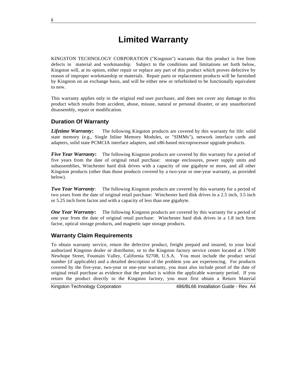# **Limited Warranty**

KINGSTON TECHNOLOGY CORPORATION ("Kingston") warrants that this product is free from defects in material and workmanship. Subject to the conditions and limitations set forth below, Kingston will, at its option, either repair or replace any part of this product which proves defective by reason of improper workmanship or materials. Repair parts or replacement products will be furnished by Kingston on an exchange basis, and will be either new or refurbished to be functionally equivalent to new.

This warranty applies only to the original end user purchaser, and does not cover any damage to this product which results from accident, abuse, misuse, natural or personal disaster, or any unauthorized disassembly, repair or modification.

#### **Duration Of Warranty**

**Lifetime Warranty:** The following Kingston products are covered by this warranty for life: solid state memory (e.g., Single Inline Memory Modules, or "SIMMs"), network interface cards and adapters, solid state PCMCIA interface adapters, and x86-based microprocessor upgrade products.

*Five Year Warranty*: The following Kingston products are covered by this warranty for a period of five years from the date of original retail purchase: storage enclosures, power supply units and subassemblies, Winchester hard disk drives with a capacity of one gigabyte or more, and all other Kingston products (other than those products covered by a two-year or one-year warranty, as provided below).

*Two Year Warranty*: The following Kingston products are covered by this warranty for a period of two years from the date of original retail purchase: Winchester hard disk drives in a 2.5 inch, 3.5 inch or 5.25 inch form factor and with a capacity of less than one gigabyte.

*One Year Warranty*: The following Kingston products are covered by this warranty for a period of one year from the date of original retail purchase: Winchester hard disk drives in a 1.8 inch form factor, optical storage products, and magnetic tape storage products.

#### **Warranty Claim Requirements**

To obtain warranty service, return the defective product, freight prepaid and insured, to your local authorized Kingston dealer or distributor, or to the Kingston factory service center located at 17600 Newhope Street, Fountain Valley, California 92708, U.S.A. You must include the product serial number (if applicable) and a detailed description of the problem you are experiencing. For products covered by the five-year, two-year or one-year warranty, you must also include proof of the date of original retail purchase as evidence that the product is within the applicable warranty period. If you return the product directly to the Kingston factory, you must first obtain a Return Material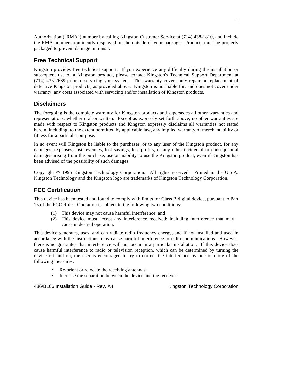Authorization ("RMA") number by calling Kingston Customer Service at (714) 438-1810, and include the RMA number prominently displayed on the outside of your package. Products must be properly packaged to prevent damage in transit.

#### **Free Technical Support**

Kingston provides free technical support. If you experience any difficulty during the installation or subsequent use of a Kingston product, please contact Kingston's Technical Support Department at (714) 435-2639 prior to servicing your system. This warranty covers only repair or replacement of defective Kingston products, as provided above. Kingston is not liable for, and does not cover under warranty, any costs associated with servicing and/or installation of Kingston products.

#### **Disclaimers**

The foregoing is the complete warranty for Kingston products and supersedes all other warranties and representations, whether oral or written. Except as expressly set forth above, no other warranties are made with respect to Kingston products and Kingston expressly disclaims all warranties not stated herein, including, to the extent permitted by applicable law, any implied warranty of merchantability or fitness for a particular purpose.

In no event will Kingston be liable to the purchaser, or to any user of the Kingston product, for any damages, expenses, lost revenues, lost savings, lost profits, or any other incidental or consequential damages arising from the purchase, use or inability to use the Kingston product, even if Kingston has been advised of the possibility of such damages.

Copyright © 1995 Kingston Technology Corporation. All rights reserved. Printed in the U.S.A. Kingston Technology and the Kingston logo are trademarks of Kingston Technology Corporation.

#### **FCC Certification**

This device has been tested and found to comply with limits for Class B digital device, pursuant to Part 15 of the FCC Rules. Operation is subject to the following two conditions:

- (1) This device may not cause harmful interference, and
- (2) This device must accept any interference received; including interference that may cause undesired operation.

This device generates, uses, and can radiate radio frequency energy, and if not installed and used in accordance with the instructions, may cause harmful interference to radio communications. However, there is no guarantee that interference will not occur in a particular installation. If this device does cause harmful interference to radio or television reception, which can be determined by turning the device off and on, the user is encouraged to try to correct the interference by one or more of the following measures:

- Re-orient or relocate the receiving antennas.
- Increase the separation between the device and the receiver.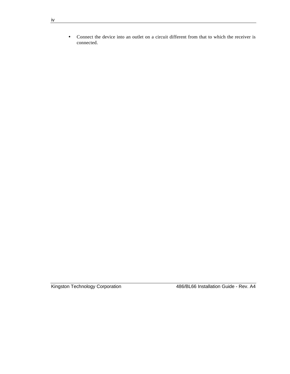• Connect the device into an outlet on a circuit different from that to which the receiver is connected.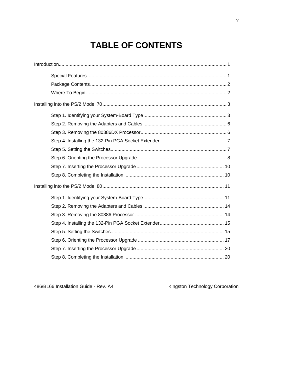# **TABLE OF CONTENTS**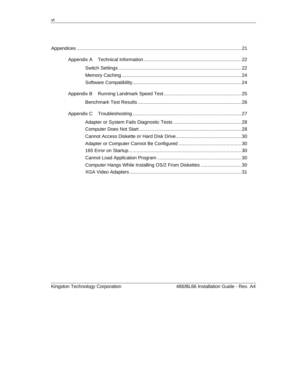| Computer Hangs While Installing OS/2 From Diskettes 30 |  |
|--------------------------------------------------------|--|
|                                                        |  |

<u> 1989 - Johann Stein, mars an de Francisco Barbara (</u>

Kingston Technology Corporation

486/BL66 Installation Guide - Rev. A4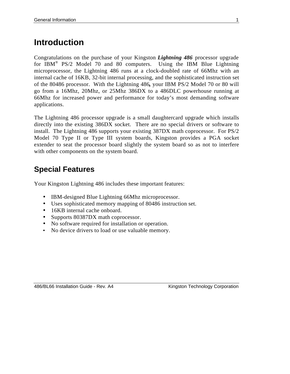# **Introduction**

Congratulations on the purchase of your Kingston *Lightning 486* processor upgrade for IBM<sup>®</sup> PS/2 Model 70 and 80 computers. Using the IBM Blue Lightning microprocessor, the Lightning 486 runs at a clock-doubled rate of 66Mhz with an internal cache of 16KB, 32-bit internal processing, and the sophisticated instruction set of the 80486 processor. With the Lightning 486*,* your IBM PS/2 Model 70 or 80 will go from a 16Mhz, 20Mhz, or 25Mhz 386DX to a 486DLC powerhouse running at 66Mhz for increased power and performance for today's most demanding software applications.

The Lightning 486 processor upgrade is a small daughtercard upgrade which installs directly into the existing 386DX socket. There are no special drivers or software to install. The Lightning 486 supports your existing 387DX math coprocessor. For PS/2 Model 70 Type II or Type III system boards, Kingston provides a PGA socket extender to seat the processor board slightly the system board so as not to interfere with other components on the system board.

# **Special Features**

Your Kingston Lightning 486 includes these important features:

- IBM-designed Blue Lightning 66Mhz microprocessor.
- Uses sophisticated memory mapping of 80486 instruction set.
- 16KB internal cache onboard.
- Supports 80387DX math coprocessor.
- No software required for installation or operation.
- No device drivers to load or use valuable memory.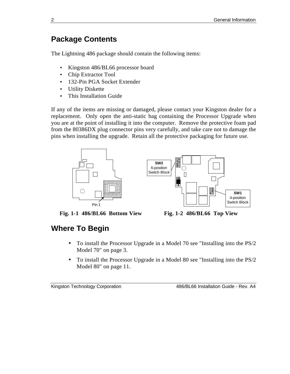# **Package Contents**

The Lightning 486 package should contain the following items:

- Kingston 486/BL66 processor board
- Chip Extractor Tool
- 132-Pin PGA Socket Extender
- Utility Diskette
- This Installation Guide

If any of the items are missing or damaged, please contact your Kingston dealer for a replacement. Only open the anti-static bag containing the Processor Upgrade when you are at the point of installing it into the computer. Remove the protective foam pad from the 80386DX plug connector pins very carefully, and take care not to damage the pins when installing the upgrade. Retain all the protective packaging for future use.



**Fig. 1-1 486/BL66 Bottom View Fig. 1-2 486/BL66 Top View**



# **Where To Begin**

- To install the Processor Upgrade in a Model 70 see "Installing into the PS/2 Model 70" on page 3.
- To install the Processor Upgrade in a Model 80 see "Installing into the PS/2 Model 80" on page 11.

```
Kingston Technology Corporation 486/BL66 Installation Guide - Rev. A4
```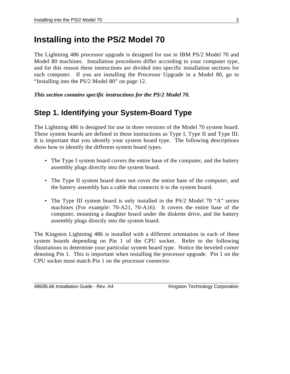# **Installing into the PS/2 Model 70**

The Lightning 486 processor upgrade is designed for use in IBM PS/2 Model 70 and Model 80 machines. Installation procedures differ according to your computer type, and for this reason these instructions are divided into specific installation sections for each computer. If you are installing the Processor Upgrade in a Model 80, go to "Installing into the PS/2 Model 80" on page 12.

*This section contains specific instructions for the PS/2 Model 70.*

# **Step 1. Identifying your System-Board Type**

The Lightning 486 is designed for use in three versions of the Model 70 system board. These system boards are defined in these instructions as Type I, Type II and Type III. It is important that you identify your system board type. The following descriptions show how to identify the different system board types.

- The Type I system board covers the entire base of the computer, and the battery assembly plugs directly into the system board.
- The Type II system board does not cover the entire base of the computer, and the battery assembly has a cable that connects it to the system board.
- The Type III system board is only installed in the PS/2 Model 70 "A" series machines (For example: 70-A21, 70-A16). It covers the entire base of the computer, mounting a daughter board under the diskette drive, and the battery assembly plugs directly into the system board.

The Kingston Lightning 486 is installed with a different orientation in each of these system boards depending on Pin 1 of the CPU socket. Refer to the following illustrations to determine your particular system board type. Notice the beveled corner denoting Pin 1. This is important when installing the processor upgrade. Pin 1 on the CPU socket must match Pin 1 on the processor connector.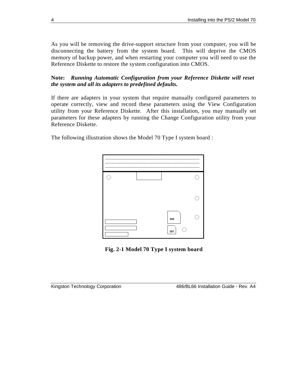As you will be removing the drive-support structure from your computer, you will be disconnecting the battery from the system board. This will deprive the CMOS memory of backup power, and when restarting your computer you will need to use the Reference Diskette to restore the system configuration into CMOS.

**Note:** *Running Automatic Configuration from your Reference Diskette will reset the system and all its adapters to predefined defaults.*

If there are adapters in your system that require manually configured parameters to operate correctly, view and record these parameters using the View Configuration utility from your Reference Diskette. After this installation, you may manually set parameters for these adapters by running the Change Configuration utility from your Reference Diskette.

The following illustration shows the Model 70 Type I system board :



**Fig. 2-1 Model 70 Type I system board**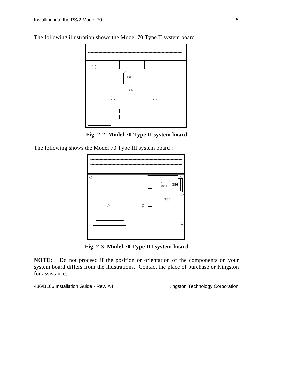The following illustration shows the Model 70 Type II system board :



**Fig. 2-2 Model 70 Type II system board**

The following shows the Model 70 Type III system board :



**Fig. 2-3 Model 70 Type III system board**

**NOTE:** Do not proceed if the position or orientation of the components on your system board differs from the illustrations. Contact the place of purchase or Kingston for assistance.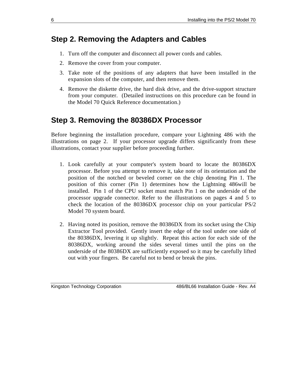## **Step 2. Removing the Adapters and Cables**

- 1. Turn off the computer and disconnect all power cords and cables.
- 2. Remove the cover from your computer.
- 3. Take note of the positions of any adapters that have been installed in the expansion slots of the computer, and then remove them.
- 4. Remove the diskette drive, the hard disk drive, and the drive-support structure from your computer. (Detailed instructions on this procedure can be found in the Model 70 Quick Reference documentation.)

## **Step 3. Removing the 80386DX Processor**

Before beginning the installation procedure, compare your Lightning 486 with the illustrations on page 2. If your processor upgrade differs significantly from these illustrations, contact your supplier before proceeding further.

- 1. Look carefully at your computer's system board to locate the 80386DX processor. Before you attempt to remove it, take note of its orientation and the position of the notched or beveled corner on the chip denoting Pin 1. The position of this corner (Pin 1) determines how the Lightning 486will be installed. Pin 1 of the CPU socket must match Pin 1 on the underside of the processor upgrade connector. Refer to the illustrations on pages 4 and 5 to check the location of the 80386DX processor chip on your particular PS/2 Model 70 system board.
- 2. Having noted its position, remove the 80386DX from its socket using the Chip Extractor Tool provided. Gently insert the edge of the tool under one side of the 80386DX, levering it up slightly. Repeat this action for each side of the 80386DX, working around the sides several times until the pins on the underside of the 80386DX are sufficiently exposed so it may be carefully lifted out with your fingers. Be careful not to bend or break the pins.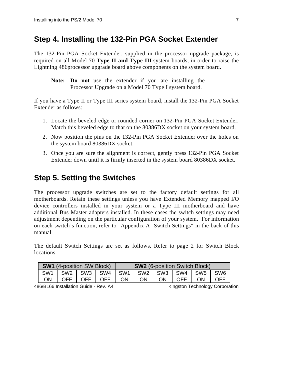### **Step 4. Installing the 132-Pin PGA Socket Extender**

The 132-Pin PGA Socket Extender, supplied in the processor upgrade package, is required on all Model 70 **Type II and Type III** system boards, in order to raise the Lightning 486processor upgrade board above components on the system board.

**Note: Do not** use the extender if you are installing the Processor Upgrade on a Model 70 Type I system board.

If you have a Type II or Type III series system board, install the 132-Pin PGA Socket Extender as follows:

- 1. Locate the beveled edge or rounded corner on 132-Pin PGA Socket Extender. Match this beveled edge to that on the 80386DX socket on your system board.
- 2. Now position the pins on the 132-Pin PGA Socket Extender over the holes on the system board 80386DX socket.
- 3. Once you are sure the alignment is correct, gently press 132-Pin PGA Socket Extender down until it is firmly inserted in the system board 80386DX socket.

# **Step 5. Setting the Switches**

The processor upgrade switches are set to the factory default settings for all motherboards. Retain these settings unless you have Extended Memory mapped I/O device controllers installed in your system or a Type III motherboard and have additional Bus Master adapters installed. In these cases the switch settings may need adjustment depending on the particular configuration of your system. For information on each switch's function, refer to "Appendix A Switch Settings" in the back of this manual.

The default Switch Settings are set as follows. Refer to page 2 for Switch Block locations.

| <b>SW1</b> (4-position SW Block) |      |     |                       |           |                       |    | <b>SW2</b> (6-position Switch Block) |    |            |
|----------------------------------|------|-----|-----------------------|-----------|-----------------------|----|--------------------------------------|----|------------|
| SW <sub>1</sub>                  |      |     | SW2   SW3   SW4   SW1 |           | SW2   SW3   SW4   SW5 |    |                                      |    | <b>SW6</b> |
| ωN                               | OFF. | OFF | <b>OFF</b>            | <b>ON</b> | ΟN                    | ON | <b>OFF</b>                           | ON | OFF        |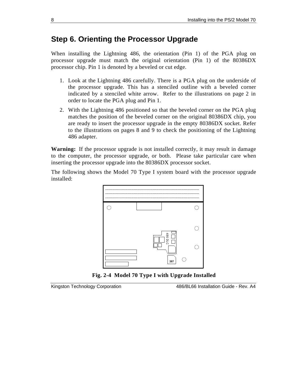### **Step 6. Orienting the Processor Upgrade**

When installing the Lightning 486, the orientation (Pin 1) of the PGA plug on processor upgrade must match the original orientation (Pin 1) of the 80386DX processor chip. Pin 1 is denoted by a beveled or cut edge.

- 1. Look at the Lightning 486 carefully. There is a PGA plug on the underside of the processor upgrade. This has a stenciled outline with a beveled corner indicated by a stenciled white arrow. Refer to the illustrations on page 2 in order to locate the PGA plug and Pin 1.
- 2. With the Lightning 486 positioned so that the beveled corner on the PGA plug matches the position of the beveled corner on the original 80386DX chip, you are ready to insert the processor upgrade in the empty 80386DX socket. Refer to the illustrations on pages 8 and 9 to check the positioning of the Lightning 486 adapter.

**Warning:** If the processor upgrade is not installed correctly, it may result in damage to the computer, the processor upgrade, or both. Please take particular care when inserting the processor upgrade into the 80386DX processor socket.

The following shows the Model 70 Type I system board with the processor upgrade installed:



**Fig. 2-4 Model 70 Type I with Upgrade Installed**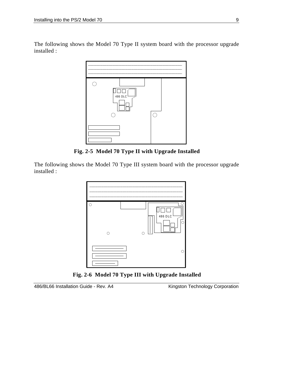The following shows the Model 70 Type II system board with the processor upgrade installed :



**Fig. 2-5 Model 70 Type II with Upgrade Installed**

The following shows the Model 70 Type III system board with the processor upgrade installed :



**Fig. 2-6 Model 70 Type III with Upgrade Installed**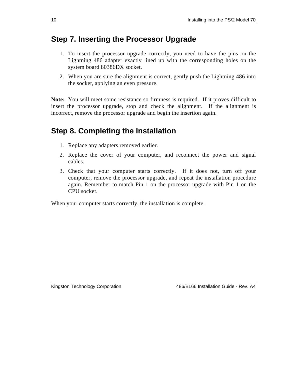### **Step 7. Inserting the Processor Upgrade**

- 1. To insert the processor upgrade correctly, you need to have the pins on the Lightning 486 adapter exactly lined up with the corresponding holes on the system board 80386DX socket.
- 2. When you are sure the alignment is correct, gently push the Lightning 486 into the socket, applying an even pressure.

**Note:** You will meet some resistance so firmness is required. If it proves difficult to insert the processor upgrade, stop and check the alignment. If the alignment is incorrect, remove the processor upgrade and begin the insertion again.

# **Step 8. Completing the Installation**

- 1. Replace any adapters removed earlier.
- 2. Replace the cover of your computer, and reconnect the power and signal cables.
- 3. Check that your computer starts correctly. If it does not, turn off your computer, remove the processor upgrade, and repeat the installation procedure again. Remember to match Pin 1 on the processor upgrade with Pin 1 on the CPU socket.

When your computer starts correctly, the installation is complete.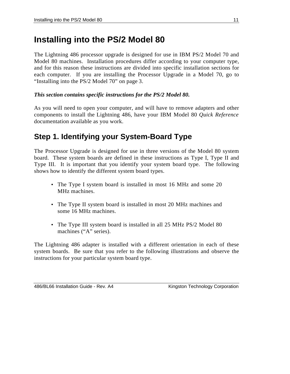# **Installing into the PS/2 Model 80**

The Lightning 486 processor upgrade is designed for use in IBM PS/2 Model 70 and Model 80 machines. Installation procedures differ according to your computer type, and for this reason these instructions are divided into specific installation sections for each computer. If you are installing the Processor Upgrade in a Model 70, go to "Installing into the PS/2 Model 70" on page 3.

#### *This section contains specific instructions for the PS/2 Model 80.*

As you will need to open your computer, and will have to remove adapters and other components to install the Lightning 486, have your IBM Model 80 *Quick Reference* documentation available as you work.

# **Step 1. Identifying your System-Board Type**

The Processor Upgrade is designed for use in three versions of the Model 80 system board. These system boards are defined in these instructions as Type I, Type II and Type III. It is important that you identify your system board type. The following shows how to identify the different system board types.

- The Type I system board is installed in most 16 MHz and some 20 MHz machines.
- The Type II system board is installed in most 20 MHz machines and some 16 MHz machines.
- The Type III system board is installed in all 25 MHz PS/2 Model 80 machines ("A" series).

The Lightning 486 adapter is installed with a different orientation in each of these system boards. Be sure that you refer to the following illustrations and observe the instructions for your particular system board type.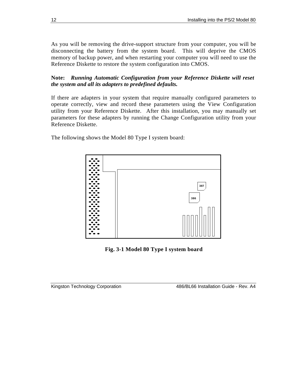As you will be removing the drive-support structure from your computer, you will be disconnecting the battery from the system board. This will deprive the CMOS memory of backup power, and when restarting your computer you will need to use the Reference Diskette to restore the system configuration into CMOS.

**Note:** *Running Automatic Configuration from your Reference Diskette will reset the system and all its adapters to predefined defaults.*

If there are adapters in your system that require manually configured parameters to operate correctly, view and record these parameters using the View Configuration utility from your Reference Diskette. After this installation, you may manually set parameters for these adapters by running the Change Configuration utility from your Reference Diskette.

The following shows the Model 80 Type I system board:



**Fig. 3-1 Model 80 Type I system board**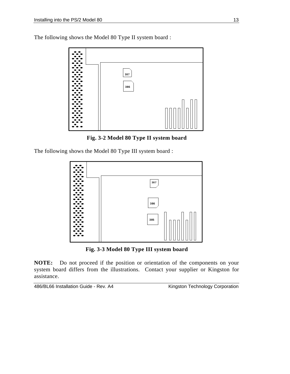The following shows the Model 80 Type II system board :



**Fig. 3-2 Model 80 Type II system board**

The following shows the Model 80 Type III system board :



**Fig. 3-3 Model 80 Type III system board**

**NOTE:** Do not proceed if the position or orientation of the components on your system board differs from the illustrations. Contact your supplier or Kingston for assistance.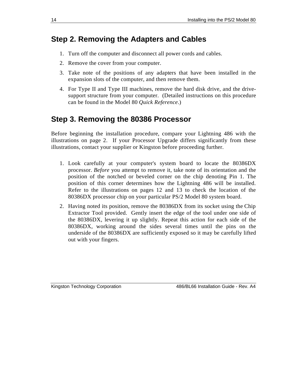## **Step 2. Removing the Adapters and Cables**

- 1. Turn off the computer and disconnect all power cords and cables.
- 2. Remove the cover from your computer.
- 3. Take note of the positions of any adapters that have been installed in the expansion slots of the computer, and then remove them.
- 4. For Type II and Type III machines, remove the hard disk drive, and the drivesupport structure from your computer. (Detailed instructions on this procedure can be found in the Model 80 *Quick Reference*.)

# **Step 3. Removing the 80386 Processor**

Before beginning the installation procedure, compare your Lightning 486 with the illustrations on page 2. If your Processor Upgrade differs significantly from these illustrations, contact your supplier or Kingston before proceeding further.

- 1. Look carefully at your computer's system board to locate the 80386DX processor. *Before* you attempt to remove it, take note of its orientation and the position of the notched or beveled corner on the chip denoting Pin 1. The position of this corner determines how the Lightning 486 will be installed. Refer to the illustrations on pages 12 and 13 to check the location of the 80386DX processor chip on your particular PS/2 Model 80 system board.
- 2. Having noted its position, remove the 80386DX from its socket using the Chip Extractor Tool provided. Gently insert the edge of the tool under one side of the 80386DX, levering it up slightly. Repeat this action for each side of the 80386DX, working around the sides several times until the pins on the underside of the 80386DX are sufficiently exposed so it may be carefully lifted out with your fingers.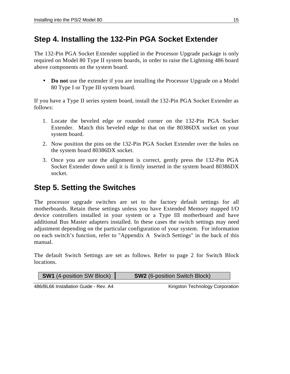# **Step 4. Installing the 132-Pin PGA Socket Extender**

The 132-Pin PGA Socket Extender supplied in the Processor Upgrade package is only required on Model 80 Type II system boards, in order to raise the Lightning 486 board above components on the system board.

• **Do not** use the extender if you are installing the Processor Upgrade on a Model 80 Type I or Type III system board.

If you have a Type II series system board, install the 132-Pin PGA Socket Extender as follows:

- 1. Locate the beveled edge or rounded corner on the 132-Pin PGA Socket Extender. Match this beveled edge to that on the 80386DX socket on your system board.
- 2. Now position the pins on the 132-Pin PGA Socket Extender over the holes on the system board 80386DX socket.
- 3. Once you are sure the alignment is correct, gently press the 132-Pin PGA Socket Extender down until it is firmly inserted in the system board 80386DX socket.

# **Step 5. Setting the Switches**

The processor upgrade switches are set to the factory default settings for all motherboards. Retain these settings unless you have Extended Memory mapped I/O device controllers installed in your system or a Type III motherboard and have additional Bus Master adapters installed. In these cases the switch settings may need adjustment depending on the particular configuration of your system. For information on each switch's function, refer to "Appendix A Switch Settings" in the back of this manual.

The default Switch Settings are set as follows. Refer to page 2 for Switch Block locations.

|  | <b>SW1</b> (4-position SW Block) | <b>SW2</b> (6-position Switch Block) |
|--|----------------------------------|--------------------------------------|
|--|----------------------------------|--------------------------------------|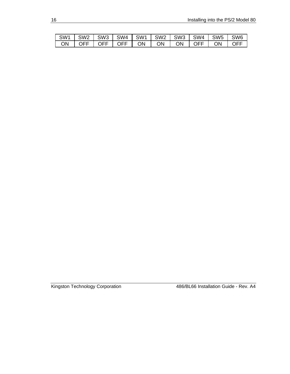| SW1   SW2   SW3   SW4   SW1   SW2   SW3   SW4   SW5   SW6 |  |  |  |  |  |
|-----------------------------------------------------------|--|--|--|--|--|
|                                                           |  |  |  |  |  |

Kingston Technology Corporation

| 486/BL66 Installation Guide - Rev. A4 |  |
|---------------------------------------|--|
|                                       |  |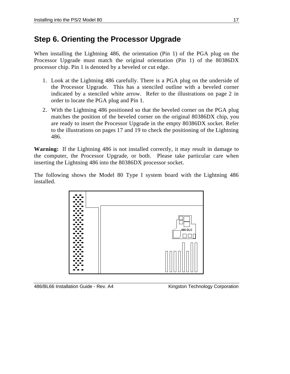# **Step 6. Orienting the Processor Upgrade**

When installing the Lightning 486, the orientation (Pin 1) of the PGA plug on the Processor Upgrade must match the original orientation (Pin 1) of the 80386DX processor chip. Pin 1 is denoted by a beveled or cut edge.

- 1. Look at the Lightning 486 carefully. There is a PGA plug on the underside of the Processor Upgrade. This has a stenciled outline with a beveled corner indicated by a stenciled white arrow. Refer to the illustrations on page 2 in order to locate the PGA plug and Pin 1.
- 2. With the Lightning 486 positioned so that the beveled corner on the PGA plug matches the position of the beveled corner on the original 80386DX chip, you are ready to insert the Processor Upgrade in the empty 80386DX socket. Refer to the illustrations on pages 17 and 19 to check the positioning of the Lightning 486.

**Warning:** If the Lightning 486 is not installed correctly, it may result in damage to the computer, the Processor Upgrade, or both. Please take particular care when inserting the Lightning 486 into the 80386DX processor socket.

The following shows the Model 80 Type I system board with the Lightning 486 installed.



486/BL66 Installation Guide - Rev. A4 Kingston Technology Corporation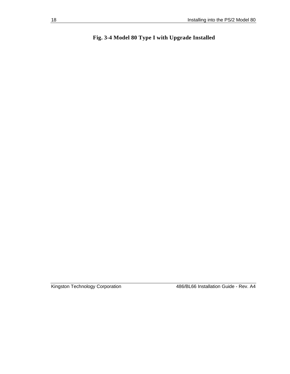### **Fig. 3-4 Model 80 Type I with Upgrade Installed**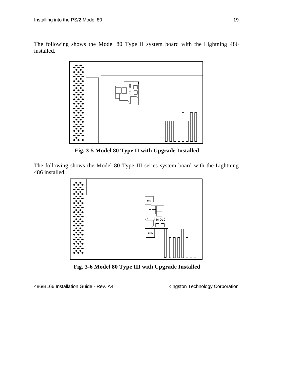The following shows the Model 80 Type II system board with the Lightning 486 installed.



**Fig. 3-5 Model 80 Type II with Upgrade Installed**

The following shows the Model 80 Type III series system board with the Lightning 486 installed.



**Fig. 3-6 Model 80 Type III with Upgrade Installed**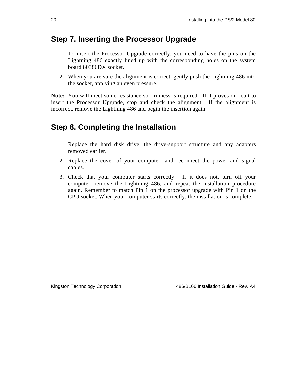### **Step 7. Inserting the Processor Upgrade**

- 1. To insert the Processor Upgrade correctly, you need to have the pins on the Lightning 486 exactly lined up with the corresponding holes on the system board 80386DX socket.
- 2. When you are sure the alignment is correct, gently push the Lightning 486 into the socket, applying an even pressure.

**Note:** You will meet some resistance so firmness is required. If it proves difficult to insert the Processor Upgrade, stop and check the alignment. If the alignment is incorrect, remove the Lightning 486 and begin the insertion again.

## **Step 8. Completing the Installation**

- 1. Replace the hard disk drive, the drive-support structure and any adapters removed earlier.
- 2. Replace the cover of your computer, and reconnect the power and signal cables.
- 3. Check that your computer starts correctly. If it does not, turn off your computer, remove the Lightning 486, and repeat the installation procedure again. Remember to match Pin 1 on the processor upgrade with Pin 1 on the CPU socket. When your computer starts correctly, the installation is complete.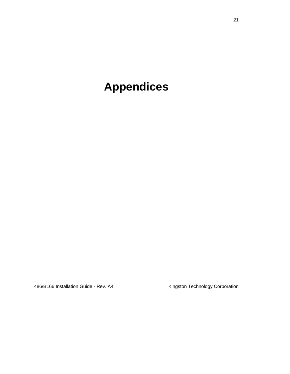# **Appendices**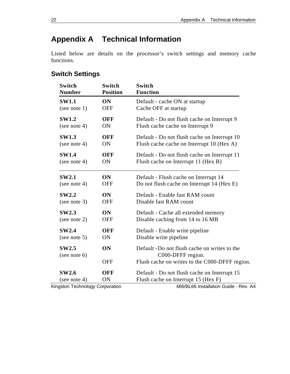# **Appendix A Technical Information**

Listed below are details on the processor's switch settings and memory cache functions.

# **Switch Settings**

| <b>Switch</b><br><b>Number</b> | <b>Switch</b><br><b>Position</b> | <b>Switch</b><br><b>Function</b>               |
|--------------------------------|----------------------------------|------------------------------------------------|
| <b>SW1.1</b>                   | ON                               | Default - cache ON at startup                  |
| (see note $1$ )                | <b>OFF</b>                       | Cache OFF at startup                           |
| <b>SW1.2</b>                   | <b>OFF</b>                       | Default - Do not flush cache on Interrupt 9    |
| (see note 4)                   | ON                               | Flush cache cache on Interrupt 9               |
| <b>SW1.3</b>                   | <b>OFF</b>                       | Default - Do not flush cache on Interrupt 10   |
| (see note 4)                   | ON                               | Flush cache cache on Interrupt 10 (Hex A)      |
| <b>SW1.4</b>                   | <b>OFF</b>                       | Default - Do not flush cache on Interrupt 11   |
| (see note 4)                   | ON                               | Flush cache on Interrupt 11 (Hex B)            |
| <b>SW2.1</b>                   | <b>ON</b>                        | Default - Flush cache on Interrupt 14          |
| (see note 4)                   | <b>OFF</b>                       | Do not flush cache on Interrupt 14 (Hex E)     |
| <b>SW2.2</b>                   | ON                               | Default - Enable fast RAM count                |
| (see note $3$ )                | <b>OFF</b>                       | Disable fast RAM count                         |
| <b>SW2.3</b>                   | <b>ON</b>                        | Default - Cache all extended memory            |
| (see note 2)                   | <b>OFF</b>                       | Disable caching from 14 to 16 MB               |
| <b>SW2.4</b>                   | <b>OFF</b>                       | Default - Enable write pipeline                |
| (see note $5$ )                | ON                               | Disable write pipeline                         |
| <b>SW2.5</b>                   | ON                               | Default -Do not flush cache on writes to the   |
| (see note 6)                   |                                  | C000-DFFF region.                              |
|                                | <b>OFF</b>                       | Flush cache on writes to the C000-DFFF region. |
| <b>SW2.6</b>                   | OFF                              | Default - Do not flush cache on Interrupt 15   |
| (see note 4)                   | <b>ON</b>                        | Flush cache on Interrupt 15 (Hex F)            |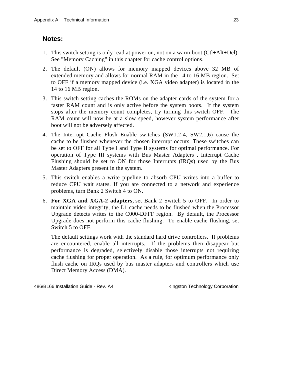#### **Notes:**

- 1. This switch setting is only read at power on, not on a warm boot (Ctl+Alt+Del). See "Memory Caching" in this chapter for cache control options.
- 2. The default (ON) allows for memory mapped devices above 32 MB of extended memory and allows for normal RAM in the 14 to 16 MB region. Set to OFF if a memory mapped device (i.e. XGA video adapter) is located in the 14 to 16 MB region.
- 3. This switch setting caches the ROMs on the adapter cards of the system for a faster RAM count and is only active before the system boots. If the system stops after the memory count completes, try turning this switch OFF. The RAM count will now be at a slow speed, however system performance after boot will not be adversely affected.
- 4. The Interrupt Cache Flush Enable switches (SW1.2-4, SW2.1,6) cause the cache to be flushed whenever the chosen interrupt occurs. These switches can be set to OFF for all Type I and Type II systems for optimal performance. For operation of Type III systems with Bus Master Adapters , Interrupt Cache Flushing should be set to ON for those Interrupts (IRQs) used by the Bus Master Adapters present in the system.
- 5. This switch enables a write pipeline to absorb CPU writes into a buffer to reduce CPU wait states. If you are connected to a network and experience problems, turn Bank 2 Switch 4 to ON.
- 6. **For XGA and XGA-2 adapters,** set Bank 2 Switch 5 to OFF. In order to maintain video integrity, the L1 cache needs to be flushed when the Processor Upgrade detects writes to the C000-DFFF region. By default, the Processor Upgrade does not perform this cache flushing. To enable cache flushing, set Switch 5 to OFF.

The default settings work with the standard hard drive controllers. If problems are encountered, enable all interrupts. If the problems then disappear but performance is degraded, selectively disable those interrupts not requiring cache flushing for proper operation. As a rule, for optimum performance only flush cache on IRQs used by bus master adapters and controllers which use Direct Memory Access (DMA).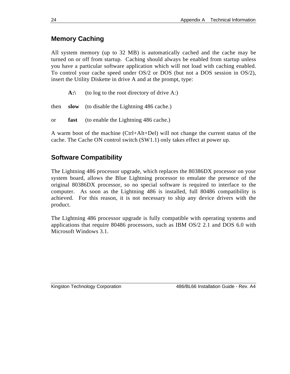### **Memory Caching**

All system memory (up to 32 MB) is automatically cached and the cache may be turned on or off from startup. Caching should always be enabled from startup unless you have a particular software application which will not load with caching enabled. To control your cache speed under OS/2 or DOS (but not a DOS session in OS/2), insert the Utility Diskette in drive A and at the prompt, type:

A:\ (to log to the root directory of drive A:)

then **slow** (to disable the Lightning 486 cache.)

or **fast** (to enable the Lightning 486 cache.)

A warm boot of the machine (Ctrl+Alt+Del) will not change the current status of the cache. The Cache ON control switch (SW1.1) only takes effect at power up.

### **Software Compatibility**

The Lightning 486 processor upgrade, which replaces the 80386DX processor on your system board, allows the Blue Lightning processor to emulate the presence of the original 80386DX processor, so no special software is required to interface to the computer. As soon as the Lightning 486 is installed, full 80486 compatibility is achieved. For this reason, it is not necessary to ship any device drivers with the product.

The Lightning 486 processor upgrade is fully compatible with operating systems and applications that require 80486 processors, such as IBM OS/2 2.1 and DOS 6.0 with Microsoft Windows 3.1.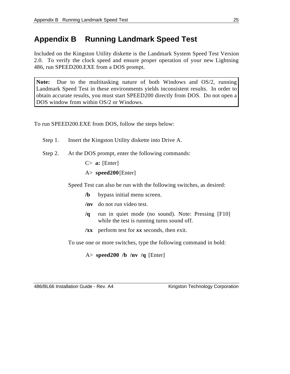# **Appendix B Running Landmark Speed Test**

Included on the Kingston Utility diskette is the Landmark System Speed Test Version 2.0. To verify the clock speed and ensure proper operation of your new Lightning 486, run SPEED200.EXE from a DOS prompt.

**Note:** Due to the multitasking nature of both Windows and OS/2, running Landmark Speed Test in these environments yields inconsistent results. In order to obtain accurate results, you must start SPEED200 directly from DOS. Do not open a DOS window from within OS/2 or Windows.

To run SPEED200.EXE from DOS, follow the steps below:

- Step 1. Insert the Kingston Utility diskette into Drive A.
- Step 2. At the DOS prompt, enter the following commands:
	- C> **a:** [Enter]
	- A> **speed200**[Enter]

Speed Test can also be run with the following switches, as desired:

- **/b** bypass initial menu screen.
- **/nv** do not run video test.
- **/q** run in quiet mode (no sound). Note: Pressing [F10] while the test is running turns sound off.
- **/xx** perform test for *xx* seconds, then exit.

To use one or more switches, type the following command in bold:

A> **speed200 /b /nv /q** [Enter]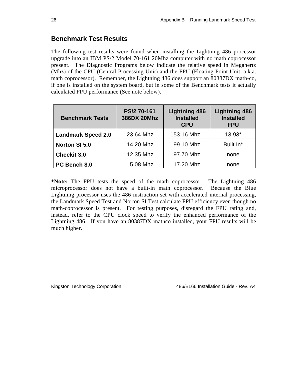### **Benchmark Test Results**

The following test results were found when installing the Lightning 486 processor upgrade into an IBM PS/2 Model 70-161 20Mhz computer with no math coprocessor present. The Diagnostic Programs below indicate the relative speed in Megahertz (Mhz) of the CPU (Central Processing Unit) and the FPU (Floating Point Unit, a.k.a. math coprocessor). Remember, the Lightning 486 does support an 80387DX math-co, if one is installed on the system board, but in some of the Benchmark tests it actually calculated FPU performance (See note below).

| <b>Benchmark Tests</b>    | PS/2 70-161<br>386DX 20Mhz | <b>Lightning 486</b><br><b>Installed</b><br><b>CPU</b> | <b>Lightning 486</b><br><b>Installed</b><br><b>FPU</b> |
|---------------------------|----------------------------|--------------------------------------------------------|--------------------------------------------------------|
| <b>Landmark Speed 2.0</b> | 23.64 Mhz                  | 153.16 Mhz                                             | $13.93*$                                               |
| <b>Norton SI 5.0</b>      | 14.20 Mhz                  | 99.10 Mhz                                              | Built In*                                              |
| <b>Checkit 3.0</b>        | 12.35 Mhz                  | 97.70 Mhz                                              | none                                                   |
| PC Bench 8.0              | 5.08 Mhz                   | 17.20 Mhz                                              | none                                                   |

**\*Note:** The FPU tests the speed of the math coprocessor. The Lightning 486 microprocessor does not have a built-in math coprocessor. Because the Blue Lightning processor uses the 486 instruction set with accelerated internal processing, the Landmark Speed Test and Norton SI Test calculate FPU efficiency even though no math-coprocessor is present. For testing purposes, disregard the FPU rating and, instead, refer to the CPU clock speed to verify the enhanced performance of the Lightning 486. If you have an 80387DX mathco installed, your FPU results will be much higher.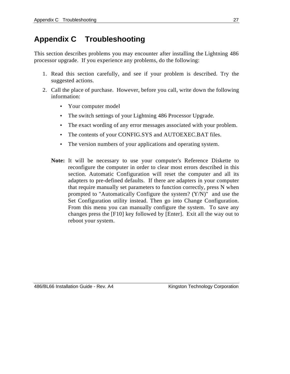# **Appendix C Troubleshooting**

This section describes problems you may encounter after installing the Lightning 486 processor upgrade. If you experience any problems, do the following:

- 1. Read this section carefully, and see if your problem is described. Try the suggested actions.
- 2. Call the place of purchase. However, before you call, write down the following information:
	- Your computer model
	- The switch settings of your Lightning 486 Processor Upgrade.
	- The exact wording of any error messages associated with your problem.
	- The contents of your CONFIG.SYS and AUTOEXEC.BAT files.
	- The version numbers of your applications and operating system.
	- **Note:** It will be necessary to use your computer's Reference Diskette to reconfigure the computer in order to clear most errors described in this section. Automatic Configuration will reset the computer and all its adapters to pre-defined defaults. If there are adapters in your computer that require manually set parameters to function correctly, press N when prompted to "Automatically Configure the system? (Y/N)" and use the Set Configuration utility instead. Then go into Change Configuration. From this menu you can manually configure the system. To save any changes press the [F10] key followed by [Enter]. Exit all the way out to reboot your system.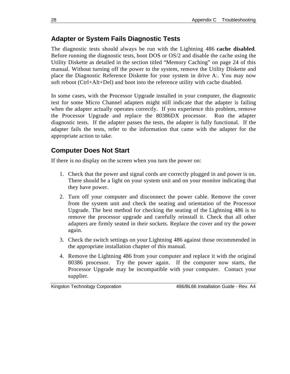### **Adapter or System Fails Diagnostic Tests**

The diagnostic tests should always be run with the Lightning 486 **cache disabled**. Before running the diagnostic tests, boot DOS or OS/2 and disable the cache using the Utility Diskette as detailed in the section titled "Memory Caching" on page 24 of this manual. Without turning off the power to the system, remove the Utility Diskette and place the Diagnostic Reference Diskette for your system in drive A:. You may now soft reboot (Ctrl+Alt+Del) and boot into the reference utility with cache disabled.

In some cases, with the Processor Upgrade installed in your computer, the diagnostic test for some Micro Channel adapters might still indicate that the adapter is failing when the adapter actually operates correctly. If you experience this problem, remove the Processor Upgrade and replace the 80386DX processor. Run the adapter diagnostic tests. If the adapter passes the tests, the adapter is fully functional. If the adapter fails the tests, refer to the information that came with the adapter for the appropriate action to take.

### **Computer Does Not Start**

If there is no display on the screen when you turn the power on:

- 1. Check that the power and signal cords are correctly plugged in and power is on. There should be a light on your system unit and on your monitor indicating that they have power.
- 2. Turn off your computer and disconnect the power cable. Remove the cover from the system unit and check the seating and orientation of the Processor Upgrade. The best method for checking the seating of the Lightning 486 is to remove the processor upgrade and carefully reinstall it. Check that all other adapters are firmly seated in their sockets. Replace the cover and try the power again.
- 3. Check the switch settings on your Lightning 486 against those recommended in the appropriate installation chapter of this manual.
- 4. Remove the Lightning 486 from your computer and replace it with the original 80386 processor. Try the power again. If the computer now starts, the Processor Upgrade may be incompatible with your computer. Contact your supplier.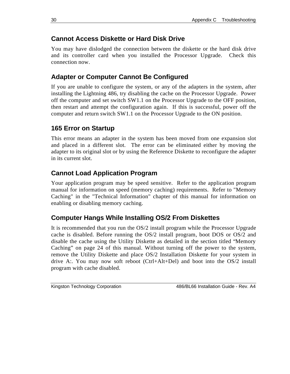### **Cannot Access Diskette or Hard Disk Drive**

You may have dislodged the connection between the diskette or the hard disk drive and its controller card when you installed the Processor Upgrade. Check this connection now.

### **Adapter or Computer Cannot Be Configured**

If you are unable to configure the system, or any of the adapters in the system, after installing the Lightning 486, try disabling the cache on the Processor Upgrade. Power off the computer and set switch SW1.1 on the Processor Upgrade to the OFF position, then restart and attempt the configuration again. If this is successful, power off the computer and return switch SW1.1 on the Processor Upgrade to the ON position.

### **165 Error on Startup**

This error means an adapter in the system has been moved from one expansion slot and placed in a different slot. The error can be eliminated either by moving the adapter to its original slot or by using the Reference Diskette to reconfigure the adapter in its current slot.

### **Cannot Load Application Program**

Your application program may be speed sensitive. Refer to the application program manual for information on speed (memory caching) requirements. Refer to "Memory Caching" in the "Technical Information" chapter of this manual for information on enabling or disabling memory caching.

### **Computer Hangs While Installing OS/2 From Diskettes**

It is recommended that you run the OS/2 install program while the Processor Upgrade cache is disabled. Before running the OS/2 install program, boot DOS or OS/2 and disable the cache using the Utility Diskette as detailed in the section titled "Memory Caching" on page 24 of this manual. Without turning off the power to the system, remove the Utility Diskette and place OS/2 Installation Diskette for your system in drive A:. You may now soft reboot (Ctrl+Alt+Del) and boot into the OS/2 install program with cache disabled.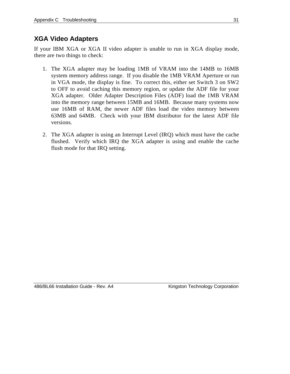### **XGA Video Adapters**

If your IBM XGA or XGA II video adapter is unable to run in XGA display mode, there are two things to check:

- 1. The XGA adapter may be loading 1MB of VRAM into the 14MB to 16MB system memory address range. If you disable the 1MB VRAM Aperture or run in VGA mode, the display is fine. To correct this, either set Switch 3 on SW2 to OFF to avoid caching this memory region, or update the ADF file for your XGA adapter. Older Adapter Description Files (ADF) load the 1MB VRAM into the memory range between 15MB and 16MB. Because many systems now use 16MB of RAM, the newer ADF files load the video memory between 63MB and 64MB. Check with your IBM distributor for the latest ADF file versions.
- 2. The XGA adapter is using an Interrupt Level (IRQ) which must have the cache flushed. Verify which IRQ the XGA adapter is using and enable the cache flush mode for that IRQ setting.